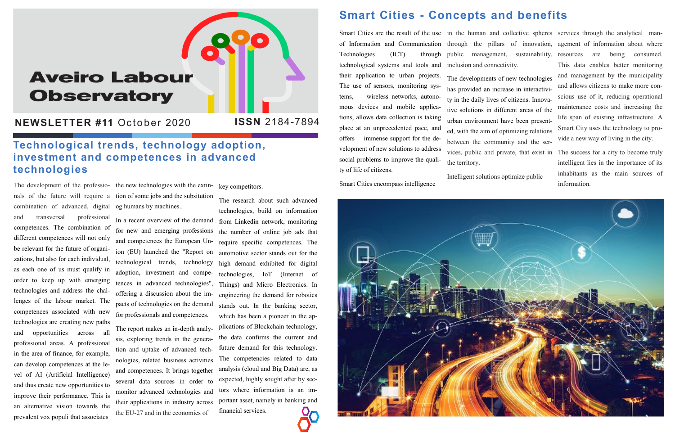# **Aveiro Labour Observatory**

**NEWSLETTER #11 October 2020** 

The development of the professio- the new technologies with the extin- key competitors. combination of advanced, digital and transversal professional competences. The combination of different competences will not only be relevant for the future of organizations, but also for each individual, as each one of us must qualify in order to keep up with emerging technologies and address the challenges of the labour market. The competences associated with new technologies are creating new paths and opportunities across all professional areas. A professional in the area of finance, for example, can develop competences at the level of AI (Artificial Intelligence) and thus create new opportunities to improve their performance. This is an alternative vision towards the prevalent vox populi that associates

nals of the future will require a tion of some jobs and the subsitution og humans by machines..

> In a recent overview of the demand for new and emerging professions the number of online job ads that and competences the European Union (EU) launched the "Report on automotive sector stands out for the technological trends, technology high demand exhibited for digital adoption, investment and competences in advanced technologies", offering a discussion about the impacts of technologies on the demand for professionals and competences.

> The report makes an in-depth analysis, exploring trends in the generation and uptake of advanced technologies, related business activities and competences. It brings together several data sources in order to monitor advanced technologies and tors where information is an imtheir applications in industry across the EU-27 and in the economies of

Technologies (ICT) technological systems and tools and inclusion and connectivity. their application to urban projects. The use of sensors, monitoring systems, wireless networks, autonomous devices and mobile applications, allows data collection is taking place at an unprecedented pace, and offers immense support for the development of new solutions to address social problems to improve the quality of life of citizens.

Smart Cities are the result of the use in the human and collective spheres services through the analytical man-The developments of new technologies has provided an increase in interactivity in the daily lives of citizens. Innovative solutions in different areas of the urban environment have been presented, with the aim of optimizing relations between the community and the services, public and private, that exist in The success for a city to become truly the territory.

The research about such advanced technologies, build on information from Linkedin network, monitoring require specific competences. The technologies, IoT (Internet of Things) and Micro Electronics. In engineering the demand for robotics stands out. In the banking sector, which has been a pioneer in the applications of Blockchain technology, the data confirms the current and future demand for this technology. The competencies related to data analysis (cloud and Big Data) are, as expected, highly sought after by secportant asset, namely in banking and financial services.

#### **Smart Cities - Concepts and benefits**

Smart Cities encompass intelligence



#### **Technological trends, technology adoption, investment and competences in advanced technologies**

of Information and Communication through the pillars of innovation, agement of information about where public management, sustainability, resources are being consumed. This data enables better monitoring and management by the municipality and allows citizens to make more conscious use of it, reducing operational maintenance costs and increasing the life span of existing infrastructure. A Smart City uses the technology to provide a new way of living in the city.

Intelligent solutions optimize public

intelligent lies in the importance of its inhabitants as the main sources of information.

**ISSN** 2184-7894